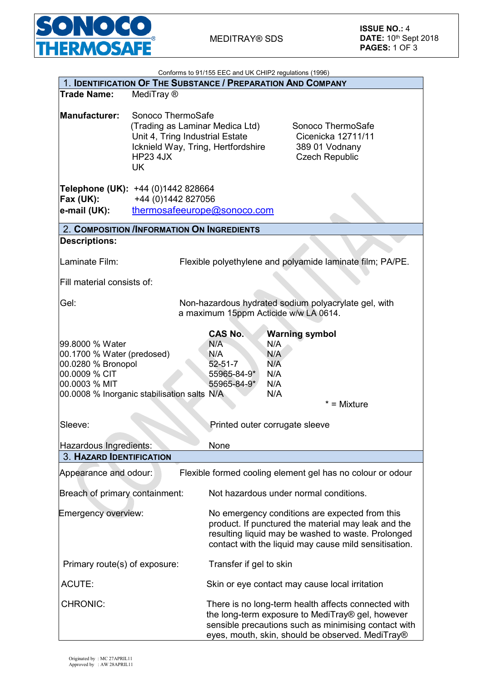

| Conforms to 91/155 EEC and UK CHIP2 regulations (1996)                                                                                               |                                                                                                                                                               |                                                                                                                                                                                                                      |                                                                 |                                                                                    |  |  |
|------------------------------------------------------------------------------------------------------------------------------------------------------|---------------------------------------------------------------------------------------------------------------------------------------------------------------|----------------------------------------------------------------------------------------------------------------------------------------------------------------------------------------------------------------------|-----------------------------------------------------------------|------------------------------------------------------------------------------------|--|--|
| 1. IDENTIFICATION OF THE SUBSTANCE / PREPARATION AND COMPANY                                                                                         |                                                                                                                                                               |                                                                                                                                                                                                                      |                                                                 |                                                                                    |  |  |
| <b>Trade Name:</b>                                                                                                                                   | MediTray ®                                                                                                                                                    |                                                                                                                                                                                                                      |                                                                 |                                                                                    |  |  |
| <b>Manufacturer:</b>                                                                                                                                 | Sonoco ThermoSafe<br>(Trading as Laminar Medica Ltd)<br>Unit 4, Tring Industrial Estate<br>Icknield Way, Tring, Hertfordshire<br><b>HP23 4JX</b><br><b>UK</b> |                                                                                                                                                                                                                      |                                                                 | Sonoco ThermoSafe<br>Cicenicka 12711/11<br>389 01 Vodnany<br><b>Czech Republic</b> |  |  |
| Fax (UK):<br>e-mail (UK):                                                                                                                            | Telephone (UK): +44 (0)1442 828664<br>+44 (0)1442 827056<br>thermosafeeurope@sonoco.com                                                                       |                                                                                                                                                                                                                      |                                                                 |                                                                                    |  |  |
|                                                                                                                                                      | 2. COMPOSITION /INFORMATION ON INGREDIENTS                                                                                                                    |                                                                                                                                                                                                                      |                                                                 |                                                                                    |  |  |
| <b>Descriptions:</b>                                                                                                                                 |                                                                                                                                                               |                                                                                                                                                                                                                      |                                                                 |                                                                                    |  |  |
| Laminate Film:                                                                                                                                       |                                                                                                                                                               |                                                                                                                                                                                                                      |                                                                 | Flexible polyethylene and polyamide laminate film; PA/PE.                          |  |  |
| Fill material consists of:                                                                                                                           |                                                                                                                                                               |                                                                                                                                                                                                                      |                                                                 |                                                                                    |  |  |
| Gel:                                                                                                                                                 |                                                                                                                                                               | a maximum 15ppm Acticide w/w LA 0614.                                                                                                                                                                                |                                                                 | Non-hazardous hydrated sodium polyacrylate gel, with                               |  |  |
| 99.8000 % Water<br>00.1700 % Water (predosed)<br>00.0280 % Bronopol<br>00.0009 % CIT<br>00.0003 % MIT<br>00.0008 % Inorganic stabilisation salts N/A |                                                                                                                                                               | <b>CAS No.</b><br>N/A<br>N/A<br>$52 - 51 - 7$<br>55965-84-9*<br>55965-84-9*                                                                                                                                          | <b>Warning symbol</b><br>N/A<br>N/A<br>N/A<br>N/A<br>N/A<br>N/A | $* =$ Mixture                                                                      |  |  |
| Sleeve:                                                                                                                                              |                                                                                                                                                               | Printed outer corrugate sleeve                                                                                                                                                                                       |                                                                 |                                                                                    |  |  |
| Hazardous Ingredients:                                                                                                                               |                                                                                                                                                               | None                                                                                                                                                                                                                 |                                                                 |                                                                                    |  |  |
| <b>3. HAZARD IDENTIFICATION</b>                                                                                                                      |                                                                                                                                                               |                                                                                                                                                                                                                      |                                                                 |                                                                                    |  |  |
| Appearance and odour:                                                                                                                                |                                                                                                                                                               |                                                                                                                                                                                                                      |                                                                 | Flexible formed cooling element gel has no colour or odour                         |  |  |
| Breach of primary containment:<br>Not hazardous under normal conditions.                                                                             |                                                                                                                                                               |                                                                                                                                                                                                                      |                                                                 |                                                                                    |  |  |
| <b>Emergency overview:</b>                                                                                                                           |                                                                                                                                                               | No emergency conditions are expected from this<br>product. If punctured the material may leak and the<br>resulting liquid may be washed to waste. Prolonged<br>contact with the liquid may cause mild sensitisation. |                                                                 |                                                                                    |  |  |
| Primary route(s) of exposure:                                                                                                                        |                                                                                                                                                               | Transfer if gel to skin                                                                                                                                                                                              |                                                                 |                                                                                    |  |  |
| <b>ACUTE:</b>                                                                                                                                        |                                                                                                                                                               | Skin or eye contact may cause local irritation                                                                                                                                                                       |                                                                 |                                                                                    |  |  |
| <b>CHRONIC:</b>                                                                                                                                      |                                                                                                                                                               | There is no long-term health affects connected with<br>the long-term exposure to MediTray® gel, however<br>sensible precautions such as minimising contact with<br>eyes, mouth, skin, should be observed. MediTray®  |                                                                 |                                                                                    |  |  |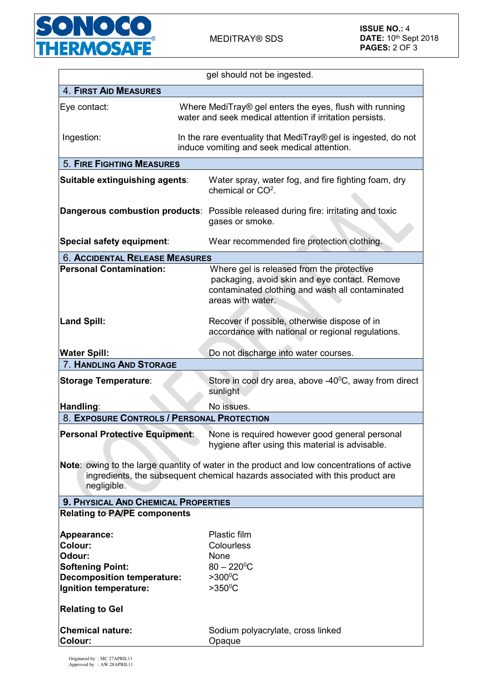

|                                                                                                                                                                                            | gel should not be ingested.                                                                                                                                        |  |  |  |  |
|--------------------------------------------------------------------------------------------------------------------------------------------------------------------------------------------|--------------------------------------------------------------------------------------------------------------------------------------------------------------------|--|--|--|--|
| <b>4. FIRST AID MEASURES</b>                                                                                                                                                               |                                                                                                                                                                    |  |  |  |  |
| Eye contact:                                                                                                                                                                               | Where MediTray® gel enters the eyes, flush with running<br>water and seek medical attention if irritation persists.                                                |  |  |  |  |
| Ingestion:                                                                                                                                                                                 | In the rare eventuality that MediTray® gel is ingested, do not<br>induce vomiting and seek medical attention.                                                      |  |  |  |  |
| <b>5. FIRE FIGHTING MEASURES</b>                                                                                                                                                           |                                                                                                                                                                    |  |  |  |  |
| Suitable extinguishing agents:                                                                                                                                                             | Water spray, water fog, and fire fighting foam, dry<br>chemical or $CO2$ .                                                                                         |  |  |  |  |
|                                                                                                                                                                                            | <b>Dangerous combustion products:</b> Possible released during fire: irritating and toxic<br>gases or smoke.                                                       |  |  |  |  |
| Special safety equipment:                                                                                                                                                                  | Wear recommended fire protection clothing.                                                                                                                         |  |  |  |  |
| <b>6. ACCIDENTAL RELEASE MEASURES</b>                                                                                                                                                      |                                                                                                                                                                    |  |  |  |  |
| <b>Personal Contamination:</b>                                                                                                                                                             | Where gel is released from the protective<br>packaging, avoid skin and eye contact. Remove<br>contaminated clothing and wash all contaminated<br>areas with water. |  |  |  |  |
| <b>Land Spill:</b>                                                                                                                                                                         | Recover if possible, otherwise dispose of in<br>accordance with national or regional regulations.                                                                  |  |  |  |  |
| <b>Water Spill:</b>                                                                                                                                                                        | Do not discharge into water courses.                                                                                                                               |  |  |  |  |
| 7. HANDLING AND STORAGE                                                                                                                                                                    |                                                                                                                                                                    |  |  |  |  |
| <b>Storage Temperature:</b>                                                                                                                                                                | Store in cool dry area, above $-40^{\circ}$ C, away from direct<br>sunlight                                                                                        |  |  |  |  |
| Handling:                                                                                                                                                                                  | No issues.                                                                                                                                                         |  |  |  |  |
| 8. EXPOSURE CONTROLS / PERSONAL PROTECTION                                                                                                                                                 |                                                                                                                                                                    |  |  |  |  |
| Personal Protective Equipment:                                                                                                                                                             | None is required however good general personal<br>hygiene after using this material is advisable.                                                                  |  |  |  |  |
| Note: owing to the large quantity of water in the product and low concentrations of active<br>ingredients, the subsequent chemical hazards associated with this product are<br>negligible. |                                                                                                                                                                    |  |  |  |  |
| 9. PHYSICAL AND CHEMICAL PROPERTIES                                                                                                                                                        |                                                                                                                                                                    |  |  |  |  |
| <b>Relating to PA/PE components</b>                                                                                                                                                        |                                                                                                                                                                    |  |  |  |  |
| Appearance:<br><b>Colour:</b><br>Odour:<br><b>Softening Point:</b><br><b>Decomposition temperature:</b><br>Ignition temperature:                                                           | Plastic film<br>Colourless<br>None<br>$80 - 220$ <sup>o</sup> C<br>$>300^{\circ}$ C<br>$>350^{\circ}$ C                                                            |  |  |  |  |
| <b>Relating to Gel</b>                                                                                                                                                                     |                                                                                                                                                                    |  |  |  |  |
| <b>Chemical nature:</b><br><b>Colour:</b>                                                                                                                                                  | Sodium polyacrylate, cross linked<br>Opaque                                                                                                                        |  |  |  |  |